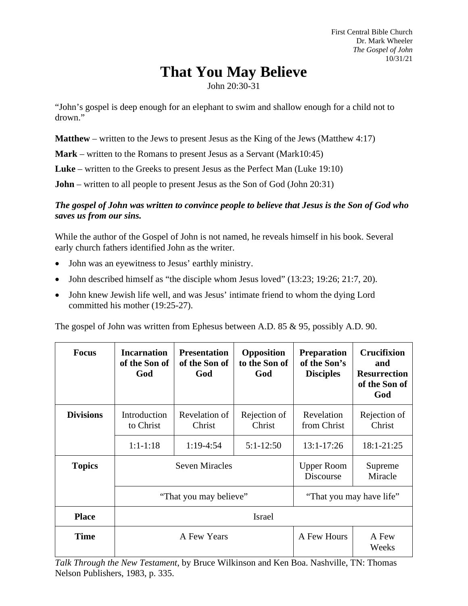First Central Bible Church Dr. Mark Wheeler *The Gospel of John* 10/31/21

# **That You May Believe**

John 20:30-31

"John's gospel is deep enough for an elephant to swim and shallow enough for a child not to drown."

**Matthew** – written to the Jews to present Jesus as the King of the Jews (Matthew 4:17)

**Mark** – written to the Romans to present Jesus as a Servant (Mark10:45)

**Luke** – written to the Greeks to present Jesus as the Perfect Man (Luke 19:10)

**John** – written to all people to present Jesus as the Son of God (John 20:31)

## *The gospel of John was written to convince people to believe that Jesus is the Son of God who saves us from our sins.*

While the author of the Gospel of John is not named, he reveals himself in his book. Several early church fathers identified John as the writer.

- John was an eyewitness to Jesus' earthly ministry.
- John described himself as "the disciple whom Jesus loved" (13:23; 19:26; 21:7, 20).
- John knew Jewish life well, and was Jesus' intimate friend to whom the dying Lord committed his mother (19:25-27).

The gospel of John was written from Ephesus between A.D. 85 & 95, possibly A.D. 90.

| <b>Focus</b>     | <b>Incarnation</b><br>of the Son of<br>God      | <b>Presentation</b><br>of the Son of<br>God | Opposition<br>to the Son of<br>God | <b>Preparation</b><br>of the Son's<br><b>Disciples</b> | <b>Crucifixion</b><br>and<br><b>Resurrection</b><br>of the Son of<br>God |
|------------------|-------------------------------------------------|---------------------------------------------|------------------------------------|--------------------------------------------------------|--------------------------------------------------------------------------|
| <b>Divisions</b> | Introduction<br>to Christ                       | Revelation of<br>Christ                     | Rejection of<br>Christ             | Revelation<br>from Christ                              | Rejection of<br>Christ                                                   |
|                  | $1:1-1:18$                                      | $1:19-4:54$                                 | $5:1-12:50$                        | $13:1 - 17:26$                                         | 18:1-21:25                                                               |
| <b>Topics</b>    | <b>Seven Miracles</b><br>"That you may believe" |                                             |                                    | <b>Upper Room</b><br>Discourse                         | Supreme<br>Miracle                                                       |
|                  |                                                 |                                             |                                    | "That you may have life"                               |                                                                          |
| <b>Place</b>     | <b>Israel</b>                                   |                                             |                                    |                                                        |                                                                          |
| <b>Time</b>      | A Few Years                                     |                                             |                                    | A Few Hours                                            | A Few<br>Weeks                                                           |

*Talk Through the New Testament*, by Bruce Wilkinson and Ken Boa. Nashville, TN: Thomas Nelson Publishers, 1983, p. 335.